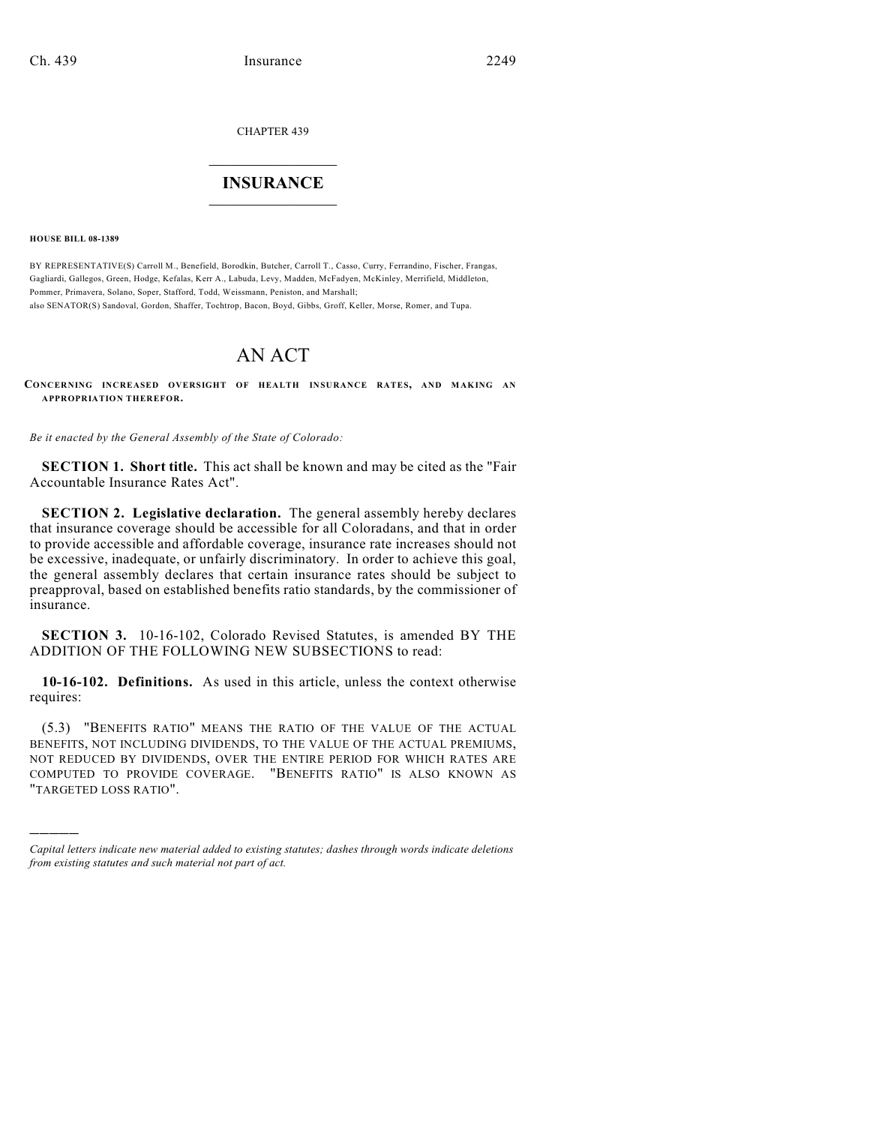CHAPTER 439

# $\mathcal{L}_\text{max}$  . The set of the set of the set of the set of the set of the set of the set of the set of the set of the set of the set of the set of the set of the set of the set of the set of the set of the set of the set **INSURANCE**  $\frac{1}{2}$  ,  $\frac{1}{2}$  ,  $\frac{1}{2}$  ,  $\frac{1}{2}$  ,  $\frac{1}{2}$  ,  $\frac{1}{2}$  ,  $\frac{1}{2}$

**HOUSE BILL 08-1389**

)))))

BY REPRESENTATIVE(S) Carroll M., Benefield, Borodkin, Butcher, Carroll T., Casso, Curry, Ferrandino, Fischer, Frangas, Gagliardi, Gallegos, Green, Hodge, Kefalas, Kerr A., Labuda, Levy, Madden, McFadyen, McKinley, Merrifield, Middleton, Pommer, Primavera, Solano, Soper, Stafford, Todd, Weissmann, Peniston, and Marshall; also SENATOR(S) Sandoval, Gordon, Shaffer, Tochtrop, Bacon, Boyd, Gibbs, Groff, Keller, Morse, Romer, and Tupa.

# AN ACT

**CONCERNING INCREASED OVERSIGHT OF HEALTH INSURANCE RATES, AND MAKING AN APPROPRIATION THEREFOR.**

*Be it enacted by the General Assembly of the State of Colorado:*

**SECTION 1. Short title.** This act shall be known and may be cited as the "Fair Accountable Insurance Rates Act".

**SECTION 2. Legislative declaration.** The general assembly hereby declares that insurance coverage should be accessible for all Coloradans, and that in order to provide accessible and affordable coverage, insurance rate increases should not be excessive, inadequate, or unfairly discriminatory. In order to achieve this goal, the general assembly declares that certain insurance rates should be subject to preapproval, based on established benefits ratio standards, by the commissioner of insurance.

**SECTION 3.** 10-16-102, Colorado Revised Statutes, is amended BY THE ADDITION OF THE FOLLOWING NEW SUBSECTIONS to read:

**10-16-102. Definitions.** As used in this article, unless the context otherwise requires:

(5.3) "BENEFITS RATIO" MEANS THE RATIO OF THE VALUE OF THE ACTUAL BENEFITS, NOT INCLUDING DIVIDENDS, TO THE VALUE OF THE ACTUAL PREMIUMS, NOT REDUCED BY DIVIDENDS, OVER THE ENTIRE PERIOD FOR WHICH RATES ARE COMPUTED TO PROVIDE COVERAGE. "BENEFITS RATIO" IS ALSO KNOWN AS "TARGETED LOSS RATIO".

*Capital letters indicate new material added to existing statutes; dashes through words indicate deletions from existing statutes and such material not part of act.*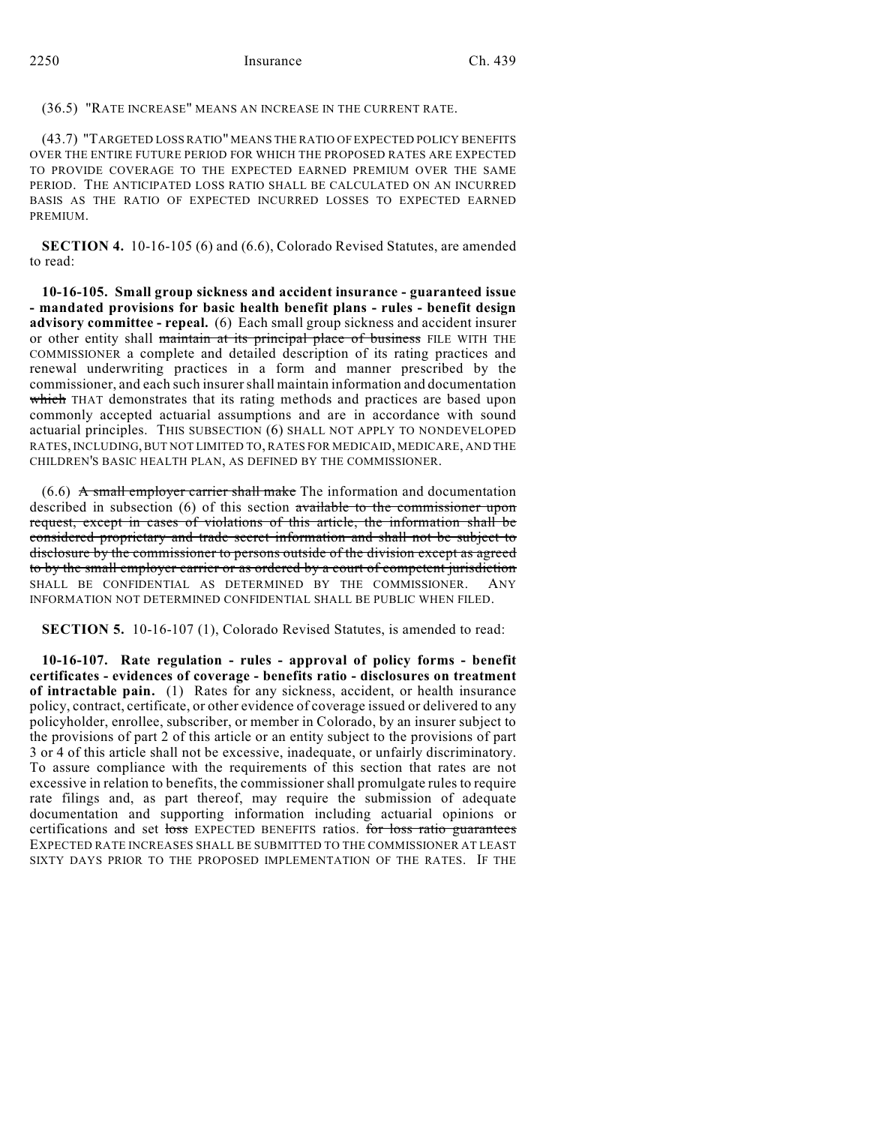(36.5) "RATE INCREASE" MEANS AN INCREASE IN THE CURRENT RATE.

(43.7) "TARGETED LOSS RATIO" MEANS THE RATIO OFEXPECTED POLICY BENEFITS OVER THE ENTIRE FUTURE PERIOD FOR WHICH THE PROPOSED RATES ARE EXPECTED TO PROVIDE COVERAGE TO THE EXPECTED EARNED PREMIUM OVER THE SAME PERIOD. THE ANTICIPATED LOSS RATIO SHALL BE CALCULATED ON AN INCURRED BASIS AS THE RATIO OF EXPECTED INCURRED LOSSES TO EXPECTED EARNED **PREMIUM** 

**SECTION 4.** 10-16-105 (6) and (6.6), Colorado Revised Statutes, are amended to read:

**10-16-105. Small group sickness and accident insurance - guaranteed issue - mandated provisions for basic health benefit plans - rules - benefit design advisory committee - repeal.** (6) Each small group sickness and accident insurer or other entity shall maintain at its principal place of business FILE WITH THE COMMISSIONER a complete and detailed description of its rating practices and renewal underwriting practices in a form and manner prescribed by the commissioner, and each such insurer shall maintain information and documentation which THAT demonstrates that its rating methods and practices are based upon commonly accepted actuarial assumptions and are in accordance with sound actuarial principles. THIS SUBSECTION (6) SHALL NOT APPLY TO NONDEVELOPED RATES, INCLUDING, BUT NOT LIMITED TO, RATES FOR MEDICAID, MEDICARE, AND THE CHILDREN'S BASIC HEALTH PLAN, AS DEFINED BY THE COMMISSIONER.

 $(6.6)$  A small employer carrier shall make The information and documentation described in subsection (6) of this section available to the commissioner upon request, except in cases of violations of this article, the information shall be considered proprietary and trade secret information and shall not be subject to disclosure by the commissioner to persons outside of the division except as agreed to by the small employer carrier or as ordered by a court of competent jurisdiction SHALL BE CONFIDENTIAL AS DETERMINED BY THE COMMISSIONER. ANY INFORMATION NOT DETERMINED CONFIDENTIAL SHALL BE PUBLIC WHEN FILED.

**SECTION 5.** 10-16-107 (1), Colorado Revised Statutes, is amended to read:

**10-16-107. Rate regulation - rules - approval of policy forms - benefit certificates - evidences of coverage - benefits ratio - disclosures on treatment of intractable pain.** (1) Rates for any sickness, accident, or health insurance policy, contract, certificate, or other evidence of coverage issued or delivered to any policyholder, enrollee, subscriber, or member in Colorado, by an insurer subject to the provisions of part 2 of this article or an entity subject to the provisions of part 3 or 4 of this article shall not be excessive, inadequate, or unfairly discriminatory. To assure compliance with the requirements of this section that rates are not excessive in relation to benefits, the commissioner shall promulgate rules to require rate filings and, as part thereof, may require the submission of adequate documentation and supporting information including actuarial opinions or certifications and set loss EXPECTED BENEFITS ratios. for loss ratio guarantees EXPECTED RATE INCREASES SHALL BE SUBMITTED TO THE COMMISSIONER AT LEAST SIXTY DAYS PRIOR TO THE PROPOSED IMPLEMENTATION OF THE RATES. IF THE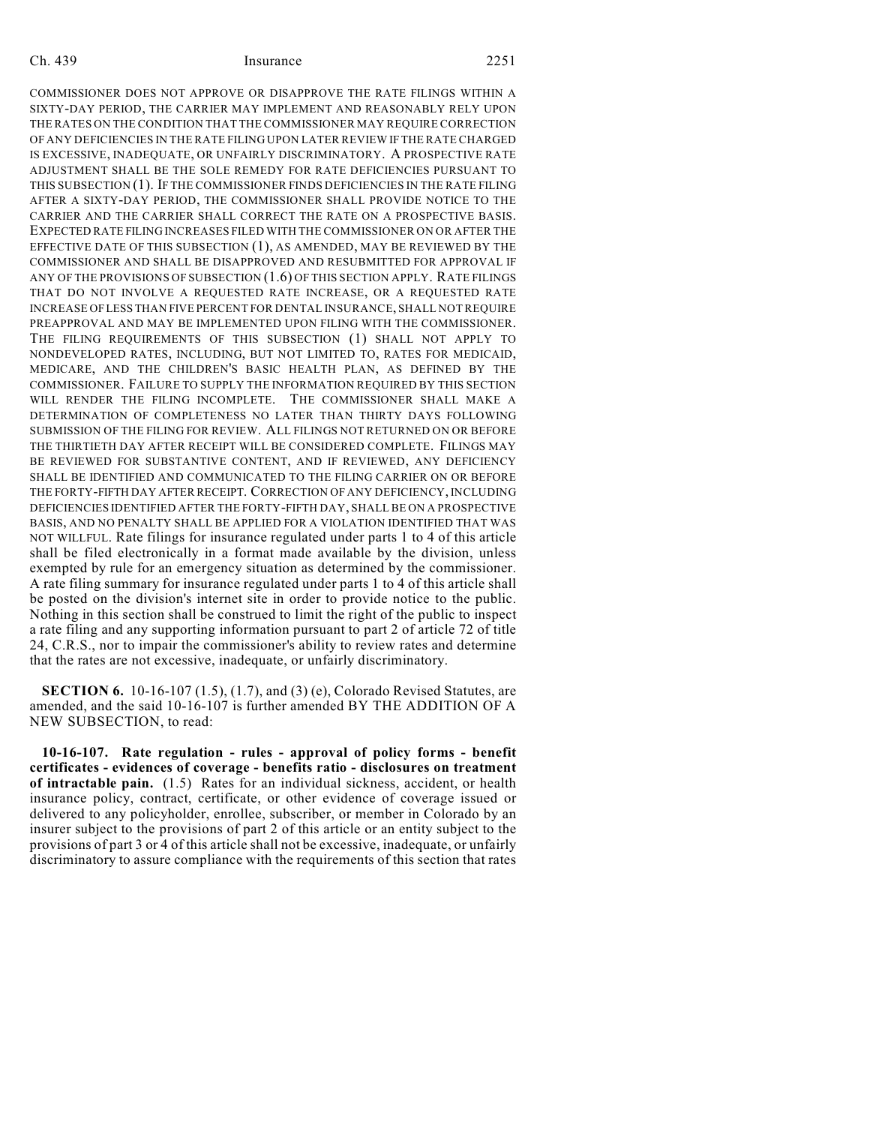Ch. 439 Insurance 2251 COMMISSIONER DOES NOT APPROVE OR DISAPPROVE THE RATE FILINGS WITHIN A SIXTY-DAY PERIOD, THE CARRIER MAY IMPLEMENT AND REASONABLY RELY UPON THE RATES ON THE CONDITION THAT THE COMMISSIONER MAY REQUIRE CORRECTION OF ANY DEFICIENCIES IN THE RATE FILING UPON LATER REVIEW IF THE RATE CHARGED IS EXCESSIVE, INADEQUATE, OR UNFAIRLY DISCRIMINATORY. A PROSPECTIVE RATE

ADJUSTMENT SHALL BE THE SOLE REMEDY FOR RATE DEFICIENCIES PURSUANT TO THIS SUBSECTION (1). IF THE COMMISSIONER FINDS DEFICIENCIES IN THE RATE FILING AFTER A SIXTY-DAY PERIOD, THE COMMISSIONER SHALL PROVIDE NOTICE TO THE CARRIER AND THE CARRIER SHALL CORRECT THE RATE ON A PROSPECTIVE BASIS. EXPECTED RATE FILING INCREASES FILED WITH THE COMMISSIONER ON OR AFTER THE EFFECTIVE DATE OF THIS SUBSECTION (1), AS AMENDED, MAY BE REVIEWED BY THE COMMISSIONER AND SHALL BE DISAPPROVED AND RESUBMITTED FOR APPROVAL IF ANY OF THE PROVISIONS OF SUBSECTION (1.6) OF THIS SECTION APPLY. RATE FILINGS THAT DO NOT INVOLVE A REQUESTED RATE INCREASE, OR A REQUESTED RATE INCREASE OF LESS THAN FIVE PERCENT FOR DENTAL INSURANCE, SHALL NOT REQUIRE PREAPPROVAL AND MAY BE IMPLEMENTED UPON FILING WITH THE COMMISSIONER. THE FILING REQUIREMENTS OF THIS SUBSECTION (1) SHALL NOT APPLY TO NONDEVELOPED RATES, INCLUDING, BUT NOT LIMITED TO, RATES FOR MEDICAID, MEDICARE, AND THE CHILDREN'S BASIC HEALTH PLAN, AS DEFINED BY THE COMMISSIONER. FAILURE TO SUPPLY THE INFORMATION REQUIRED BY THIS SECTION WILL RENDER THE FILING INCOMPLETE. THE COMMISSIONER SHALL MAKE A DETERMINATION OF COMPLETENESS NO LATER THAN THIRTY DAYS FOLLOWING SUBMISSION OF THE FILING FOR REVIEW. ALL FILINGS NOT RETURNED ON OR BEFORE THE THIRTIETH DAY AFTER RECEIPT WILL BE CONSIDERED COMPLETE. FILINGS MAY BE REVIEWED FOR SUBSTANTIVE CONTENT, AND IF REVIEWED, ANY DEFICIENCY SHALL BE IDENTIFIED AND COMMUNICATED TO THE FILING CARRIER ON OR BEFORE THE FORTY-FIFTH DAY AFTER RECEIPT. CORRECTION OF ANY DEFICIENCY, INCLUDING DEFICIENCIES IDENTIFIED AFTER THE FORTY-FIFTH DAY, SHALL BE ON A PROSPECTIVE BASIS, AND NO PENALTY SHALL BE APPLIED FOR A VIOLATION IDENTIFIED THAT WAS NOT WILLFUL. Rate filings for insurance regulated under parts 1 to 4 of this article shall be filed electronically in a format made available by the division, unless exempted by rule for an emergency situation as determined by the commissioner. A rate filing summary for insurance regulated under parts 1 to 4 of this article shall be posted on the division's internet site in order to provide notice to the public. Nothing in this section shall be construed to limit the right of the public to inspect a rate filing and any supporting information pursuant to part 2 of article 72 of title 24, C.R.S., nor to impair the commissioner's ability to review rates and determine that the rates are not excessive, inadequate, or unfairly discriminatory.

**SECTION 6.** 10-16-107 (1.5), (1.7), and (3) (e), Colorado Revised Statutes, are amended, and the said 10-16-107 is further amended BY THE ADDITION OF A NEW SUBSECTION, to read:

**10-16-107. Rate regulation - rules - approval of policy forms - benefit certificates - evidences of coverage - benefits ratio - disclosures on treatment of intractable pain.** (1.5) Rates for an individual sickness, accident, or health insurance policy, contract, certificate, or other evidence of coverage issued or delivered to any policyholder, enrollee, subscriber, or member in Colorado by an insurer subject to the provisions of part 2 of this article or an entity subject to the provisions of part 3 or 4 of this article shall not be excessive, inadequate, or unfairly discriminatory to assure compliance with the requirements of this section that rates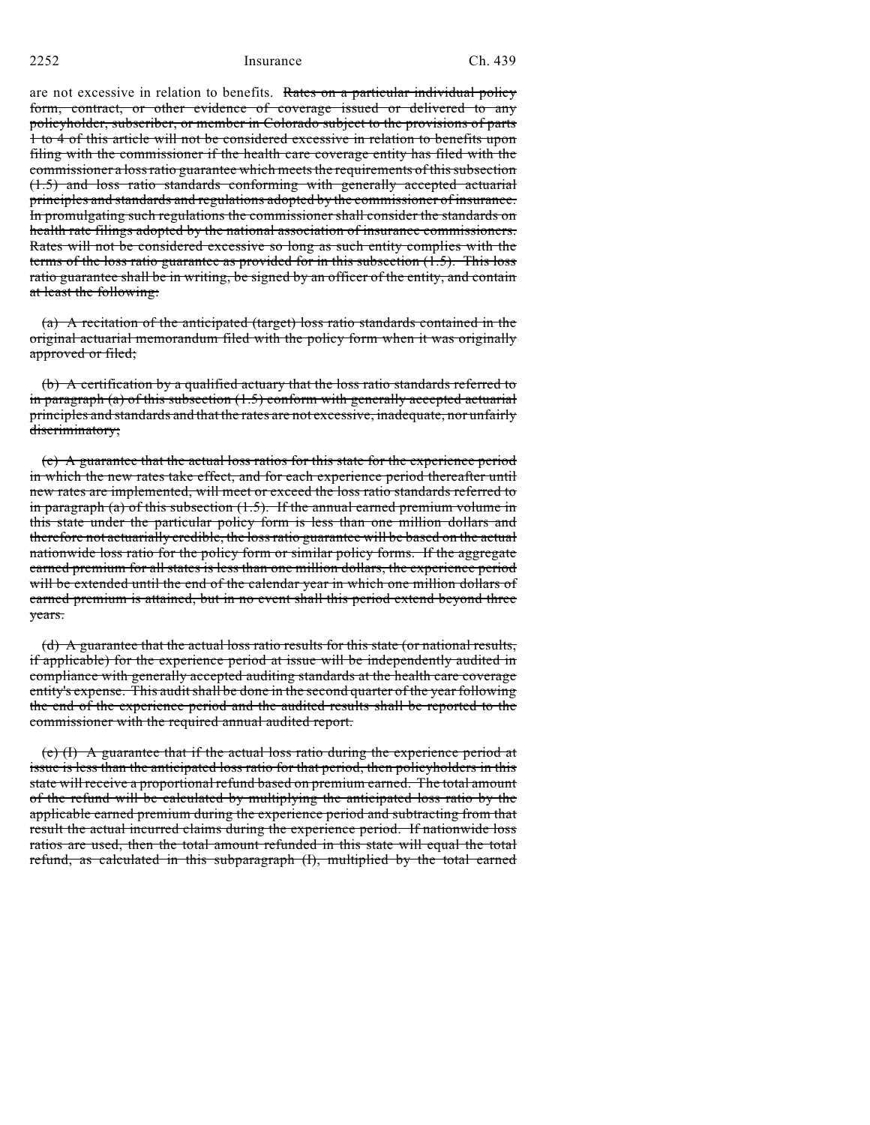2252 Insurance Ch. 439

are not excessive in relation to benefits. Rates on a particular individual policy form, contract, or other evidence of coverage issued or delivered to any policyholder, subscriber, or member in Colorado subject to the provisions of parts 1 to 4 of this article will not be considered excessive in relation to benefits upon filing with the commissioner if the health care coverage entity has filed with the commissioner a loss ratio guarantee which meets the requirements of this subsection (1.5) and loss ratio standards conforming with generally accepted actuarial principles and standards and regulations adopted by the commissioner of insurance. In promulgating such regulations the commissioner shall consider the standards on health rate filings adopted by the national association of insurance commissioners. Rates will not be considered excessive so long as such entity complies with the terms of the loss ratio guarantee as provided for in this subsection (1.5). This loss ratio guarantee shall be in writing, be signed by an officer of the entity, and contain at least the following:

(a) A recitation of the anticipated (target) loss ratio standards contained in the original actuarial memorandum filed with the policy form when it was originally approved or filed;

(b) A certification by a qualified actuary that the loss ratio standards referred to in paragraph (a) of this subsection  $(1.5)$  conform with generally accepted actuarial principles and standards and that the rates are not excessive, inadequate, nor unfairly discriminatory;

(c) A guarantee that the actual loss ratios for this state for the experience period in which the new rates take effect, and for each experience period thereafter until new rates are implemented, will meet or exceed the loss ratio standards referred to in paragraph (a) of this subsection (1.5). If the annual earned premium volume in this state under the particular policy form is less than one million dollars and therefore not actuarially credible, the loss ratio guarantee will be based on the actual nationwide loss ratio for the policy form or similar policy forms. If the aggregate earned premium for all states is less than one million dollars, the experience period will be extended until the end of the calendar year in which one million dollars of earned premium is attained, but in no event shall this period extend beyond three years.

(d) A guarantee that the actual loss ratio results for this state (or national results, if applicable) for the experience period at issue will be independently audited in compliance with generally accepted auditing standards at the health care coverage entity's expense. This audit shall be done in the second quarter of the year following the end of the experience period and the audited results shall be reported to the commissioner with the required annual audited report.

(e) (I) A guarantee that if the actual loss ratio during the experience period at issue is less than the anticipated loss ratio for that period, then policyholders in this state will receive a proportional refund based on premium earned. The total amount of the refund will be calculated by multiplying the anticipated loss ratio by the applicable earned premium during the experience period and subtracting from that result the actual incurred claims during the experience period. If nationwide loss ratios are used, then the total amount refunded in this state will equal the total refund, as calculated in this subparagraph (I), multiplied by the total earned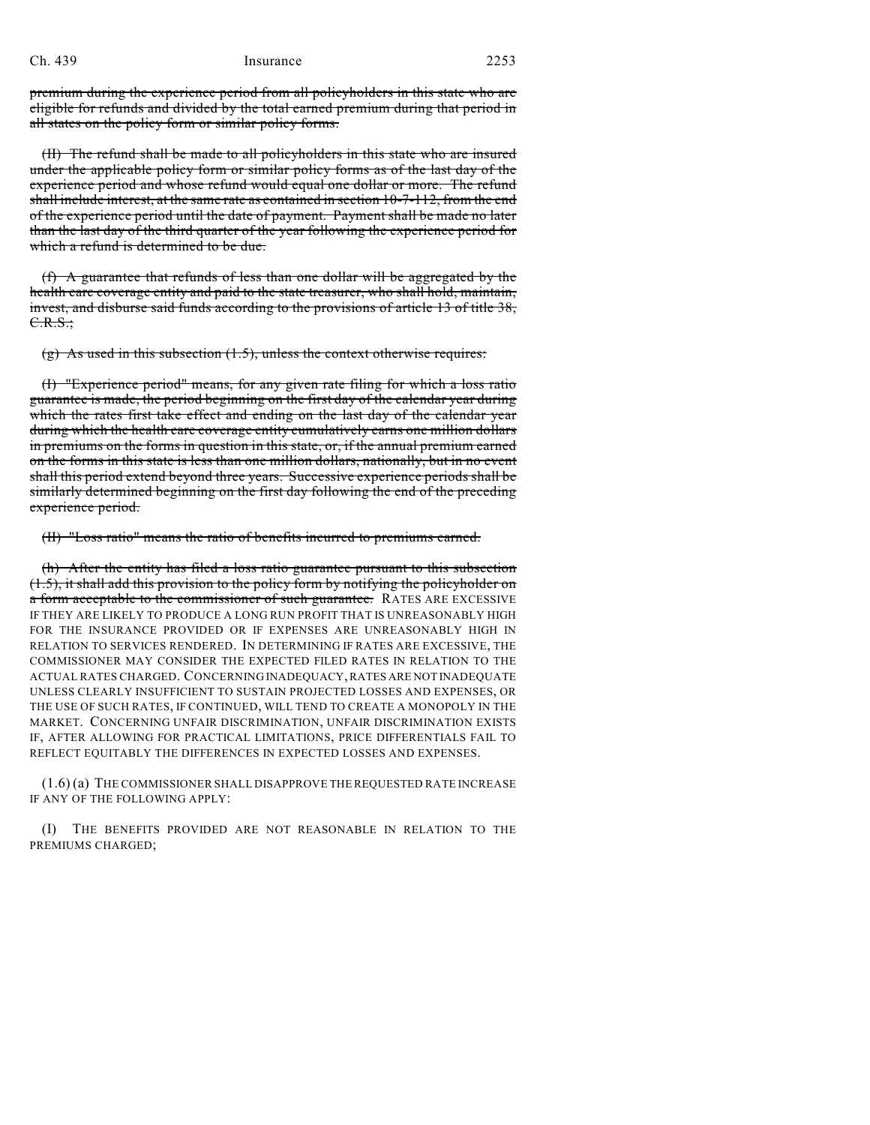## Ch. 439 Insurance 2253

premium during the experience period from all policyholders in this state who are eligible for refunds and divided by the total earned premium during that period in all states on the policy form or similar policy forms.

(II) The refund shall be made to all policyholders in this state who are insured under the applicable policy form or similar policy forms as of the last day of the experience period and whose refund would equal one dollar or more. The refund shall include interest, at the same rate as contained in section 10-7-112, from the end of the experience period until the date of payment. Payment shall be made no later than the last day of the third quarter of the year following the experience period for which a refund is determined to be due.

(f) A guarantee that refunds of less than one dollar will be aggregated by the health care coverage entity and paid to the state treasurer, who shall hold, maintain, invest, and disburse said funds according to the provisions of article 13 of title 38, C.R.S.;

(g) As used in this subsection  $(1.5)$ , unless the context otherwise requires:

(I) "Experience period" means, for any given rate filing for which a loss ratio guarantee is made, the period beginning on the first day of the calendar year during which the rates first take effect and ending on the last day of the calendar year during which the health care coverage entity cumulatively earns one million dollars in premiums on the forms in question in this state, or, if the annual premium earned on the forms in this state is less than one million dollars, nationally, but in no event shall this period extend beyond three years. Successive experience periods shall be similarly determined beginning on the first day following the end of the preceding experience period.

(II) "Loss ratio" means the ratio of benefits incurred to premiums earned.

(h) After the entity has filed a loss ratio guarantee pursuant to this subsection (1.5), it shall add this provision to the policy form by notifying the policyholder on a form acceptable to the commissioner of such guarantee. RATES ARE EXCESSIVE IF THEY ARE LIKELY TO PRODUCE A LONG RUN PROFIT THAT IS UNREASONABLY HIGH FOR THE INSURANCE PROVIDED OR IF EXPENSES ARE UNREASONABLY HIGH IN RELATION TO SERVICES RENDERED. IN DETERMINING IF RATES ARE EXCESSIVE, THE COMMISSIONER MAY CONSIDER THE EXPECTED FILED RATES IN RELATION TO THE ACTUAL RATES CHARGED. CONCERNING INADEQUACY, RATES ARE NOT INADEQUATE UNLESS CLEARLY INSUFFICIENT TO SUSTAIN PROJECTED LOSSES AND EXPENSES, OR THE USE OF SUCH RATES, IF CONTINUED, WILL TEND TO CREATE A MONOPOLY IN THE MARKET. CONCERNING UNFAIR DISCRIMINATION, UNFAIR DISCRIMINATION EXISTS IF, AFTER ALLOWING FOR PRACTICAL LIMITATIONS, PRICE DIFFERENTIALS FAIL TO REFLECT EQUITABLY THE DIFFERENCES IN EXPECTED LOSSES AND EXPENSES.

(1.6) (a) THE COMMISSIONER SHALL DISAPPROVE THE REQUESTED RATE INCREASE IF ANY OF THE FOLLOWING APPLY:

(I) THE BENEFITS PROVIDED ARE NOT REASONABLE IN RELATION TO THE PREMIUMS CHARGED;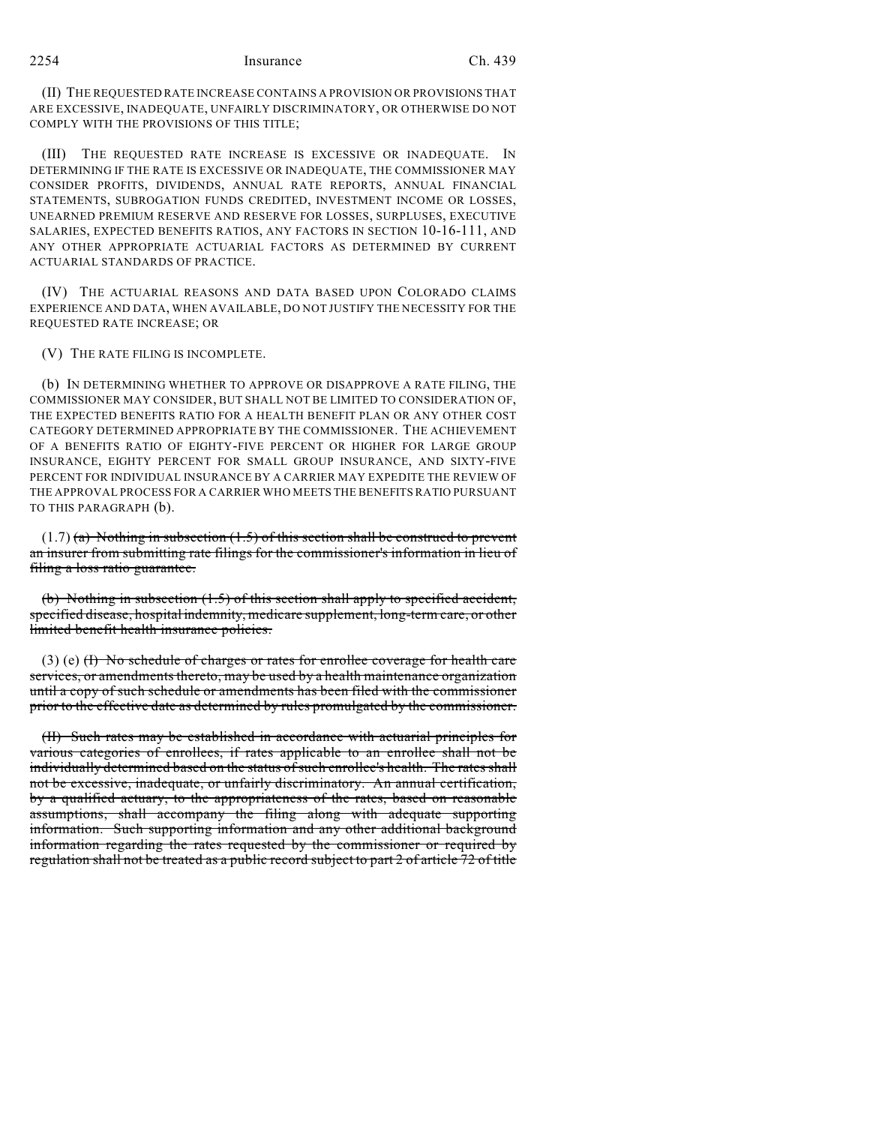(II) THE REQUESTED RATE INCREASE CONTAINS A PROVISION OR PROVISIONS THAT ARE EXCESSIVE, INADEQUATE, UNFAIRLY DISCRIMINATORY, OR OTHERWISE DO NOT COMPLY WITH THE PROVISIONS OF THIS TITLE;

(III) THE REQUESTED RATE INCREASE IS EXCESSIVE OR INADEQUATE. IN DETERMINING IF THE RATE IS EXCESSIVE OR INADEQUATE, THE COMMISSIONER MAY CONSIDER PROFITS, DIVIDENDS, ANNUAL RATE REPORTS, ANNUAL FINANCIAL STATEMENTS, SUBROGATION FUNDS CREDITED, INVESTMENT INCOME OR LOSSES, UNEARNED PREMIUM RESERVE AND RESERVE FOR LOSSES, SURPLUSES, EXECUTIVE SALARIES, EXPECTED BENEFITS RATIOS, ANY FACTORS IN SECTION 10-16-111, AND ANY OTHER APPROPRIATE ACTUARIAL FACTORS AS DETERMINED BY CURRENT ACTUARIAL STANDARDS OF PRACTICE.

(IV) THE ACTUARIAL REASONS AND DATA BASED UPON COLORADO CLAIMS EXPERIENCE AND DATA, WHEN AVAILABLE, DO NOT JUSTIFY THE NECESSITY FOR THE REQUESTED RATE INCREASE; OR

(V) THE RATE FILING IS INCOMPLETE.

(b) IN DETERMINING WHETHER TO APPROVE OR DISAPPROVE A RATE FILING, THE COMMISSIONER MAY CONSIDER, BUT SHALL NOT BE LIMITED TO CONSIDERATION OF, THE EXPECTED BENEFITS RATIO FOR A HEALTH BENEFIT PLAN OR ANY OTHER COST CATEGORY DETERMINED APPROPRIATE BY THE COMMISSIONER. THE ACHIEVEMENT OF A BENEFITS RATIO OF EIGHTY-FIVE PERCENT OR HIGHER FOR LARGE GROUP INSURANCE, EIGHTY PERCENT FOR SMALL GROUP INSURANCE, AND SIXTY-FIVE PERCENT FOR INDIVIDUAL INSURANCE BY A CARRIER MAY EXPEDITE THE REVIEW OF THE APPROVAL PROCESS FOR A CARRIER WHO MEETS THE BENEFITS RATIO PURSUANT TO THIS PARAGRAPH (b).

 $(1.7)$  (a) Nothing in subsection  $(1.5)$  of this section shall be construed to prevent an insurer from submitting rate filings for the commissioner's information in lieu of filing a loss ratio guarantee.

(b) Nothing in subsection (1.5) of this section shall apply to specified accident, specified disease, hospital indemnity, medicare supplement, long-term care, or other limited benefit health insurance policies.

 $(3)$  (e)  $(H)$  No schedule of charges or rates for enrollee coverage for health care services, or amendments thereto, may be used by a health maintenance organization until a copy of such schedule or amendments has been filed with the commissioner prior to the effective date as determined by rules promulgated by the commissioner.

(II) Such rates may be established in accordance with actuarial principles for various categories of enrollees, if rates applicable to an enrollee shall not be individually determined based on the status of such enrollee's health. The rates shall not be excessive, inadequate, or unfairly discriminatory. An annual certification, by a qualified actuary, to the appropriateness of the rates, based on reasonable assumptions, shall accompany the filing along with adequate supporting information. Such supporting information and any other additional background information regarding the rates requested by the commissioner or required by regulation shall not be treated as a public record subject to part 2 of article 72 of title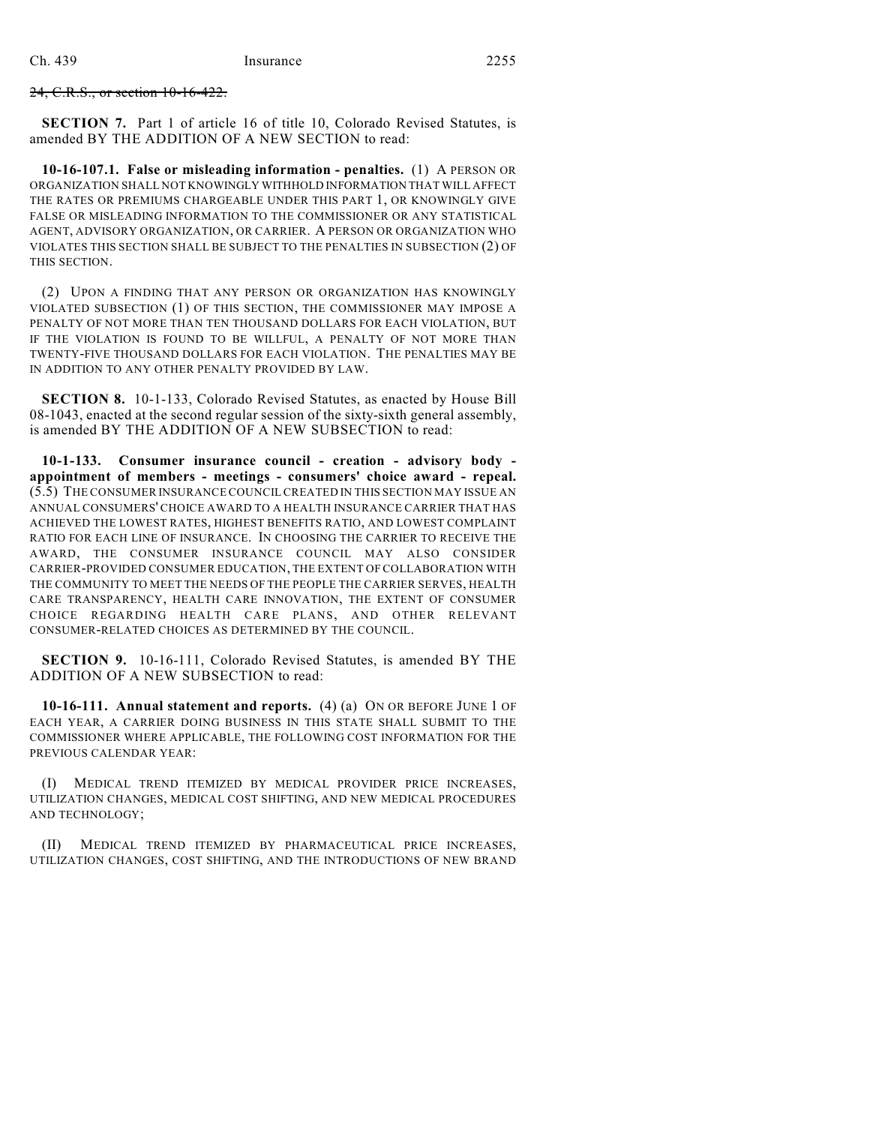24, C.R.S., or section 10-16-422.

**SECTION 7.** Part 1 of article 16 of title 10, Colorado Revised Statutes, is amended BY THE ADDITION OF A NEW SECTION to read:

**10-16-107.1. False or misleading information - penalties.** (1) A PERSON OR ORGANIZATION SHALL NOT KNOWINGLY WITHHOLD INFORMATION THAT WILL AFFECT THE RATES OR PREMIUMS CHARGEABLE UNDER THIS PART 1, OR KNOWINGLY GIVE FALSE OR MISLEADING INFORMATION TO THE COMMISSIONER OR ANY STATISTICAL AGENT, ADVISORY ORGANIZATION, OR CARRIER. A PERSON OR ORGANIZATION WHO VIOLATES THIS SECTION SHALL BE SUBJECT TO THE PENALTIES IN SUBSECTION (2) OF THIS SECTION.

(2) UPON A FINDING THAT ANY PERSON OR ORGANIZATION HAS KNOWINGLY VIOLATED SUBSECTION (1) OF THIS SECTION, THE COMMISSIONER MAY IMPOSE A PENALTY OF NOT MORE THAN TEN THOUSAND DOLLARS FOR EACH VIOLATION, BUT IF THE VIOLATION IS FOUND TO BE WILLFUL, A PENALTY OF NOT MORE THAN TWENTY-FIVE THOUSAND DOLLARS FOR EACH VIOLATION. THE PENALTIES MAY BE IN ADDITION TO ANY OTHER PENALTY PROVIDED BY LAW.

**SECTION 8.** 10-1-133, Colorado Revised Statutes, as enacted by House Bill 08-1043, enacted at the second regular session of the sixty-sixth general assembly, is amended BY THE ADDITION OF A NEW SUBSECTION to read:

**10-1-133. Consumer insurance council - creation - advisory body appointment of members - meetings - consumers' choice award - repeal.** (5.5) THE CONSUMER INSURANCE COUNCIL CREATED IN THIS SECTION MAY ISSUE AN ANNUAL CONSUMERS' CHOICE AWARD TO A HEALTH INSURANCE CARRIER THAT HAS ACHIEVED THE LOWEST RATES, HIGHEST BENEFITS RATIO, AND LOWEST COMPLAINT RATIO FOR EACH LINE OF INSURANCE. IN CHOOSING THE CARRIER TO RECEIVE THE AWARD, THE CONSUMER INSURANCE COUNCIL MAY ALSO CONSIDER CARRIER-PROVIDED CONSUMER EDUCATION, THE EXTENT OF COLLABORATION WITH THE COMMUNITY TO MEET THE NEEDS OF THE PEOPLE THE CARRIER SERVES, HEALTH CARE TRANSPARENCY, HEALTH CARE INNOVATION, THE EXTENT OF CONSUMER CHOICE REGARDING HEALTH CARE PLANS, AND OTHER RELEVANT CONSUMER-RELATED CHOICES AS DETERMINED BY THE COUNCIL.

**SECTION 9.** 10-16-111, Colorado Revised Statutes, is amended BY THE ADDITION OF A NEW SUBSECTION to read:

**10-16-111. Annual statement and reports.** (4) (a) ON OR BEFORE JUNE 1 OF EACH YEAR, A CARRIER DOING BUSINESS IN THIS STATE SHALL SUBMIT TO THE COMMISSIONER WHERE APPLICABLE, THE FOLLOWING COST INFORMATION FOR THE PREVIOUS CALENDAR YEAR:

(I) MEDICAL TREND ITEMIZED BY MEDICAL PROVIDER PRICE INCREASES, UTILIZATION CHANGES, MEDICAL COST SHIFTING, AND NEW MEDICAL PROCEDURES AND TECHNOLOGY;

(II) MEDICAL TREND ITEMIZED BY PHARMACEUTICAL PRICE INCREASES, UTILIZATION CHANGES, COST SHIFTING, AND THE INTRODUCTIONS OF NEW BRAND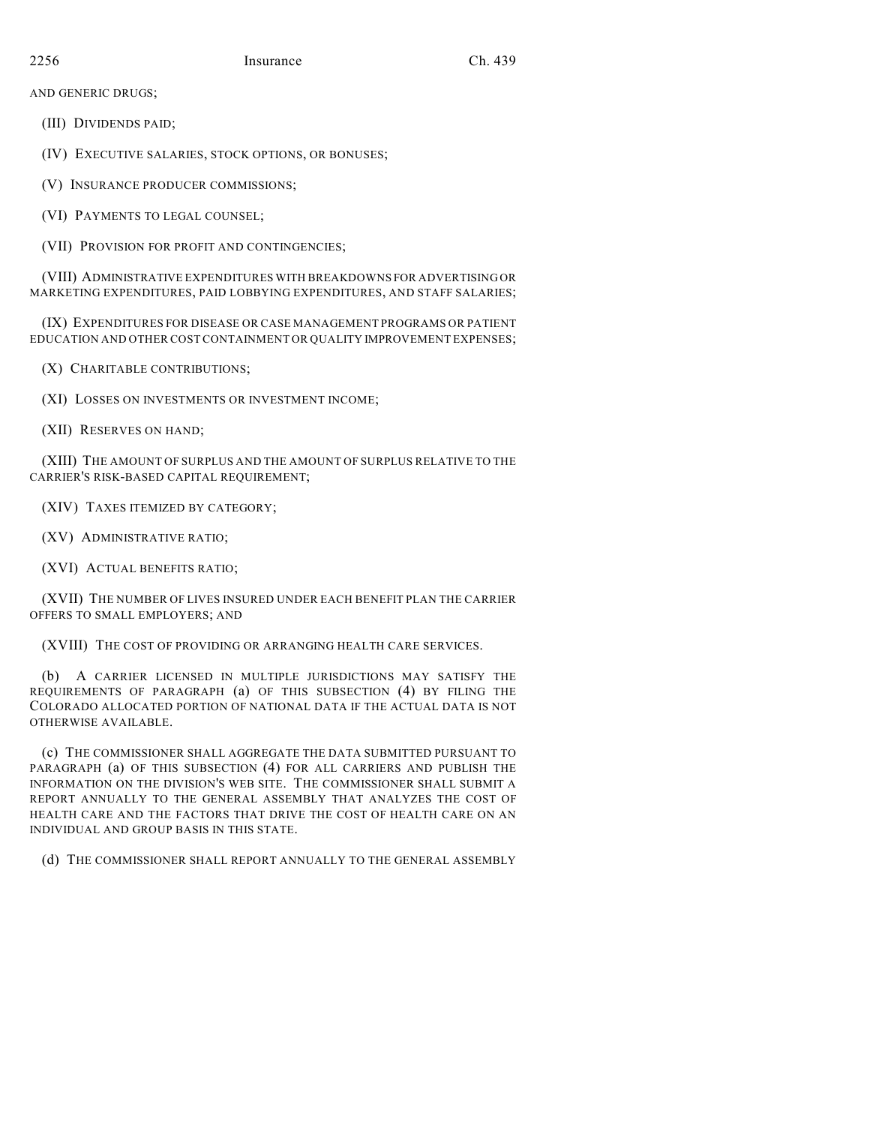AND GENERIC DRUGS;

(III) DIVIDENDS PAID;

(IV) EXECUTIVE SALARIES, STOCK OPTIONS, OR BONUSES;

(V) INSURANCE PRODUCER COMMISSIONS;

(VI) PAYMENTS TO LEGAL COUNSEL;

(VII) PROVISION FOR PROFIT AND CONTINGENCIES;

(VIII) ADMINISTRATIVE EXPENDITURES WITH BREAKDOWNS FOR ADVERTISING OR MARKETING EXPENDITURES, PAID LOBBYING EXPENDITURES, AND STAFF SALARIES;

(IX) EXPENDITURES FOR DISEASE OR CASE MANAGEMENT PROGRAMS OR PATIENT EDUCATION AND OTHER COST CONTAINMENT OR QUALITY IMPROVEMENT EXPENSES;

(X) CHARITABLE CONTRIBUTIONS;

(XI) LOSSES ON INVESTMENTS OR INVESTMENT INCOME;

(XII) RESERVES ON HAND;

(XIII) THE AMOUNT OF SURPLUS AND THE AMOUNT OF SURPLUS RELATIVE TO THE CARRIER'S RISK-BASED CAPITAL REQUIREMENT;

(XIV) TAXES ITEMIZED BY CATEGORY;

(XV) ADMINISTRATIVE RATIO;

(XVI) ACTUAL BENEFITS RATIO;

(XVII) THE NUMBER OF LIVES INSURED UNDER EACH BENEFIT PLAN THE CARRIER OFFERS TO SMALL EMPLOYERS; AND

(XVIII) THE COST OF PROVIDING OR ARRANGING HEALTH CARE SERVICES.

(b) A CARRIER LICENSED IN MULTIPLE JURISDICTIONS MAY SATISFY THE REQUIREMENTS OF PARAGRAPH (a) OF THIS SUBSECTION (4) BY FILING THE COLORADO ALLOCATED PORTION OF NATIONAL DATA IF THE ACTUAL DATA IS NOT OTHERWISE AVAILABLE.

(c) THE COMMISSIONER SHALL AGGREGATE THE DATA SUBMITTED PURSUANT TO PARAGRAPH (a) OF THIS SUBSECTION (4) FOR ALL CARRIERS AND PUBLISH THE INFORMATION ON THE DIVISION'S WEB SITE. THE COMMISSIONER SHALL SUBMIT A REPORT ANNUALLY TO THE GENERAL ASSEMBLY THAT ANALYZES THE COST OF HEALTH CARE AND THE FACTORS THAT DRIVE THE COST OF HEALTH CARE ON AN INDIVIDUAL AND GROUP BASIS IN THIS STATE.

(d) THE COMMISSIONER SHALL REPORT ANNUALLY TO THE GENERAL ASSEMBLY